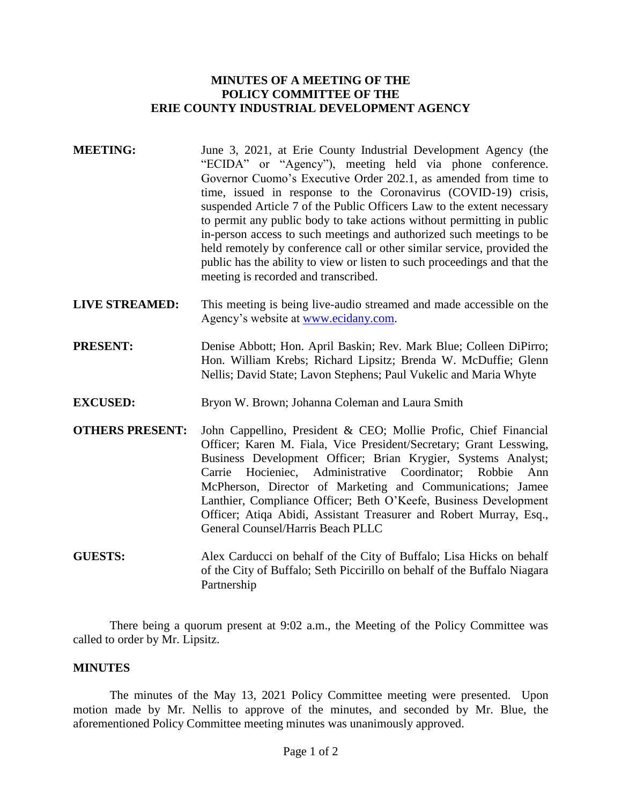# **MINUTES OF A MEETING OF THE POLICY COMMITTEE OF THE ERIE COUNTY INDUSTRIAL DEVELOPMENT AGENCY**

- **MEETING:** June 3, 2021, at Erie County Industrial Development Agency (the "ECIDA" or "Agency"), meeting held via phone conference. Governor Cuomo's Executive Order 202.1, as amended from time to time, issued in response to the Coronavirus (COVID-19) crisis, suspended Article 7 of the Public Officers Law to the extent necessary to permit any public body to take actions without permitting in public in-person access to such meetings and authorized such meetings to be held remotely by conference call or other similar service, provided the public has the ability to view or listen to such proceedings and that the meeting is recorded and transcribed.
- **LIVE STREAMED:** This meeting is being live-audio streamed and made accessible on the Agency's website at [www.ecidany.com.](http://www.ecidany.com/)
- **PRESENT:** Denise Abbott; Hon. April Baskin; Rev. Mark Blue; Colleen DiPirro; Hon. William Krebs; Richard Lipsitz; Brenda W. McDuffie; Glenn Nellis; David State; Lavon Stephens; Paul Vukelic and Maria Whyte
- **EXCUSED:** Bryon W. Brown; Johanna Coleman and Laura Smith
- **OTHERS PRESENT:** John Cappellino, President & CEO; Mollie Profic, Chief Financial Officer; Karen M. Fiala, Vice President/Secretary; Grant Lesswing, Business Development Officer; Brian Krygier, Systems Analyst; Carrie Hocieniec, Administrative Coordinator; Robbie Ann McPherson, Director of Marketing and Communications; Jamee Lanthier, Compliance Officer; Beth O'Keefe, Business Development Officer; Atiqa Abidi, Assistant Treasurer and Robert Murray, Esq., General Counsel/Harris Beach PLLC
- **GUESTS:** Alex Carducci on behalf of the City of Buffalo; Lisa Hicks on behalf of the City of Buffalo; Seth Piccirillo on behalf of the Buffalo Niagara Partnership

There being a quorum present at 9:02 a.m., the Meeting of the Policy Committee was called to order by Mr. Lipsitz.

## **MINUTES**

The minutes of the May 13, 2021 Policy Committee meeting were presented. Upon motion made by Mr. Nellis to approve of the minutes, and seconded by Mr. Blue, the aforementioned Policy Committee meeting minutes was unanimously approved.